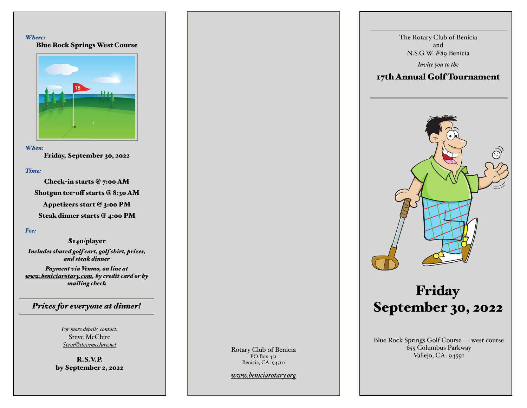#### *Where:*

Blue Rock Springs West Course



#### *When:*

Friday, September 30, 2022

### *Time:*

Check-in starts @ 7:00 AM Shotgun tee-off starts @ 8:30 AM Appetizers start @ 3:00 PM Steak dinner starts @ 4:00 PM

### *Fee:*

\$140/player *Includes shared golf cart, golf shirt, prizes, and steak dinner*

*Payment via Venmo, on line at [www.beniciarotary.com,](http://www.beniciarotary.com) by credit card or by mailing check*

*Prizes for everyone at dinner!*

*For more details, contact:* Steve McClure *[Steve@stevemcclure.net](mailto:Steve@stevemcclure.net)*

R.S.V.P. by September 2, 2022 Rotary Club of Benicia PO Box 421 Benicia, CA. 94510

*[www.beniciarotary.org](http://www.beniciarotary.org)*

The Rotary Club of Benicia and N.S.G.W. #89 Benicia

*Invite you to the*

### 17th Annual Golf Tournament



# Friday September 30, 2022

Blue Rock Springs Golf Course — west course 655 Columbus Parkway Vallejo, CA. 94591